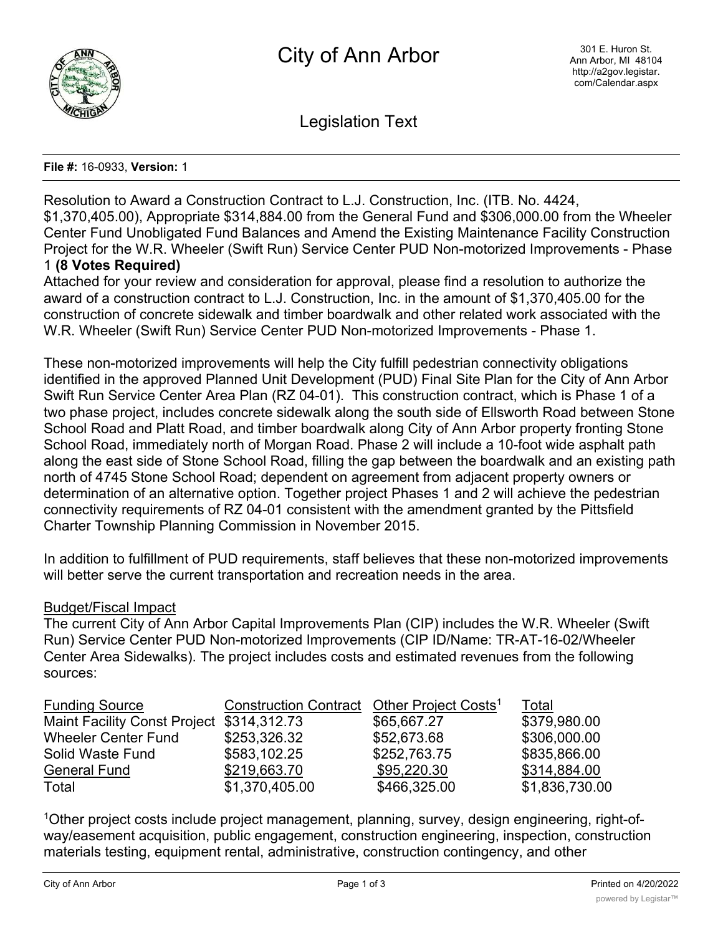

Legislation Text

## **File #:** 16-0933, **Version:** 1

Resolution to Award a Construction Contract to L.J. Construction, Inc. (ITB. No. 4424, \$1,370,405.00), Appropriate \$314,884.00 from the General Fund and \$306,000.00 from the Wheeler Center Fund Unobligated Fund Balances and Amend the Existing Maintenance Facility Construction Project for the W.R. Wheeler (Swift Run) Service Center PUD Non-motorized Improvements - Phase 1 **(8 Votes Required)**

Attached for your review and consideration for approval, please find a resolution to authorize the award of a construction contract to L.J. Construction, Inc. in the amount of \$1,370,405.00 for the construction of concrete sidewalk and timber boardwalk and other related work associated with the

W.R. Wheeler (Swift Run) Service Center PUD Non-motorized Improvements - Phase 1.

These non-motorized improvements will help the City fulfill pedestrian connectivity obligations identified in the approved Planned Unit Development (PUD) Final Site Plan for the City of Ann Arbor Swift Run Service Center Area Plan (RZ 04-01). This construction contract, which is Phase 1 of a two phase project, includes concrete sidewalk along the south side of Ellsworth Road between Stone School Road and Platt Road, and timber boardwalk along City of Ann Arbor property fronting Stone School Road, immediately north of Morgan Road. Phase 2 will include a 10-foot wide asphalt path along the east side of Stone School Road, filling the gap between the boardwalk and an existing path north of 4745 Stone School Road; dependent on agreement from adjacent property owners or determination of an alternative option. Together project Phases 1 and 2 will achieve the pedestrian connectivity requirements of RZ 04-01 consistent with the amendment granted by the Pittsfield Charter Township Planning Commission in November 2015.

In addition to fulfillment of PUD requirements, staff believes that these non-motorized improvements will better serve the current transportation and recreation needs in the area.

## Budget/Fiscal Impact

The current City of Ann Arbor Capital Improvements Plan (CIP) includes the W.R. Wheeler (Swift Run) Service Center PUD Non-motorized Improvements (CIP ID/Name: TR-AT-16-02/Wheeler Center Area Sidewalks). The project includes costs and estimated revenues from the following sources:

| <b>Funding Source</b>                     | Construction Contract Other Project Costs <sup>1</sup> |              | Total          |
|-------------------------------------------|--------------------------------------------------------|--------------|----------------|
| Maint Facility Const Project \$314,312.73 |                                                        | \$65,667.27  | \$379,980.00   |
| <b>Wheeler Center Fund</b>                | \$253,326.32                                           | \$52,673.68  | \$306,000.00   |
| Solid Waste Fund                          | \$583,102.25                                           | \$252,763.75 | \$835,866.00   |
| <b>General Fund</b>                       | \$219,663.70                                           | \$95,220.30  | \$314,884.00   |
| Total                                     | \$1,370,405.00                                         | \$466,325.00 | \$1,836,730.00 |

1Other project costs include project management, planning, survey, design engineering, right-ofway/easement acquisition, public engagement, construction engineering, inspection, construction materials testing, equipment rental, administrative, construction contingency, and other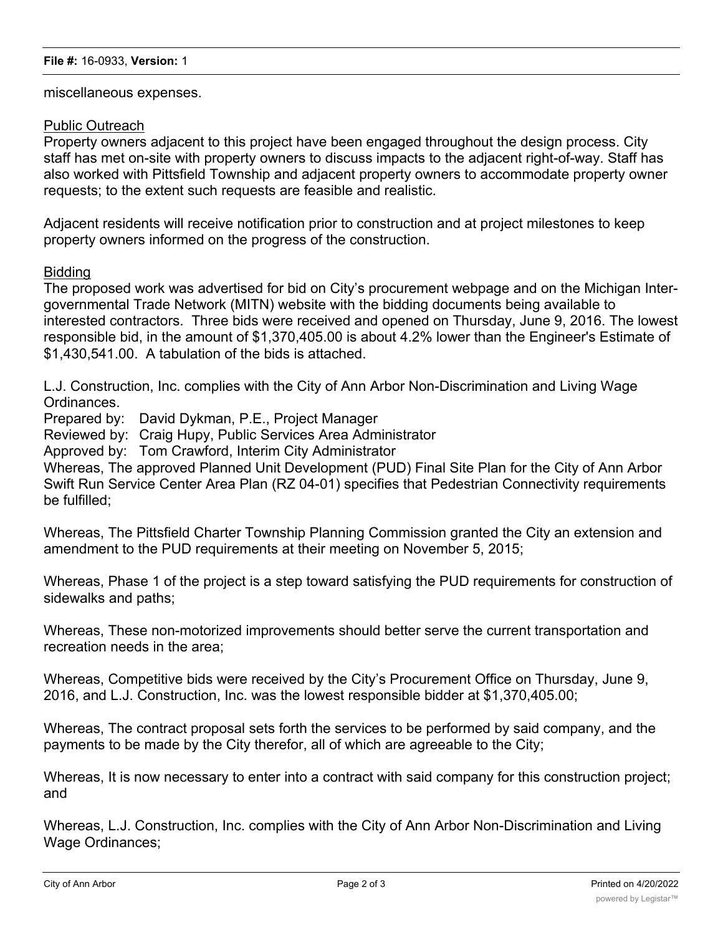miscellaneous expenses.

## Public Outreach

Property owners adjacent to this project have been engaged throughout the design process. City staff has met on-site with property owners to discuss impacts to the adjacent right-of-way. Staff has also worked with Pittsfield Township and adjacent property owners to accommodate property owner requests; to the extent such requests are feasible and realistic.

Adjacent residents will receive notification prior to construction and at project milestones to keep property owners informed on the progress of the construction.

## **Bidding**

The proposed work was advertised for bid on City's procurement webpage and on the Michigan Intergovernmental Trade Network (MITN) website with the bidding documents being available to interested contractors. Three bids were received and opened on Thursday, June 9, 2016. The lowest responsible bid, in the amount of \$1,370,405.00 is about 4.2% lower than the Engineer's Estimate of \$1,430,541.00. A tabulation of the bids is attached.

L.J. Construction, Inc. complies with the City of Ann Arbor Non-Discrimination and Living Wage Ordinances.

Prepared by: David Dykman, P.E., Project Manager

Reviewed by: Craig Hupy, Public Services Area Administrator

Approved by: Tom Crawford, Interim City Administrator

Whereas, The approved Planned Unit Development (PUD) Final Site Plan for the City of Ann Arbor Swift Run Service Center Area Plan (RZ 04-01) specifies that Pedestrian Connectivity requirements be fulfilled;

Whereas, The Pittsfield Charter Township Planning Commission granted the City an extension and amendment to the PUD requirements at their meeting on November 5, 2015;

Whereas, Phase 1 of the project is a step toward satisfying the PUD requirements for construction of sidewalks and paths;

Whereas, These non-motorized improvements should better serve the current transportation and recreation needs in the area;

Whereas, Competitive bids were received by the City's Procurement Office on Thursday, June 9, 2016, and L.J. Construction, Inc. was the lowest responsible bidder at \$1,370,405.00;

Whereas, The contract proposal sets forth the services to be performed by said company, and the payments to be made by the City therefor, all of which are agreeable to the City;

Whereas, It is now necessary to enter into a contract with said company for this construction project; and

Whereas, L.J. Construction, Inc. complies with the City of Ann Arbor Non-Discrimination and Living Wage Ordinances;